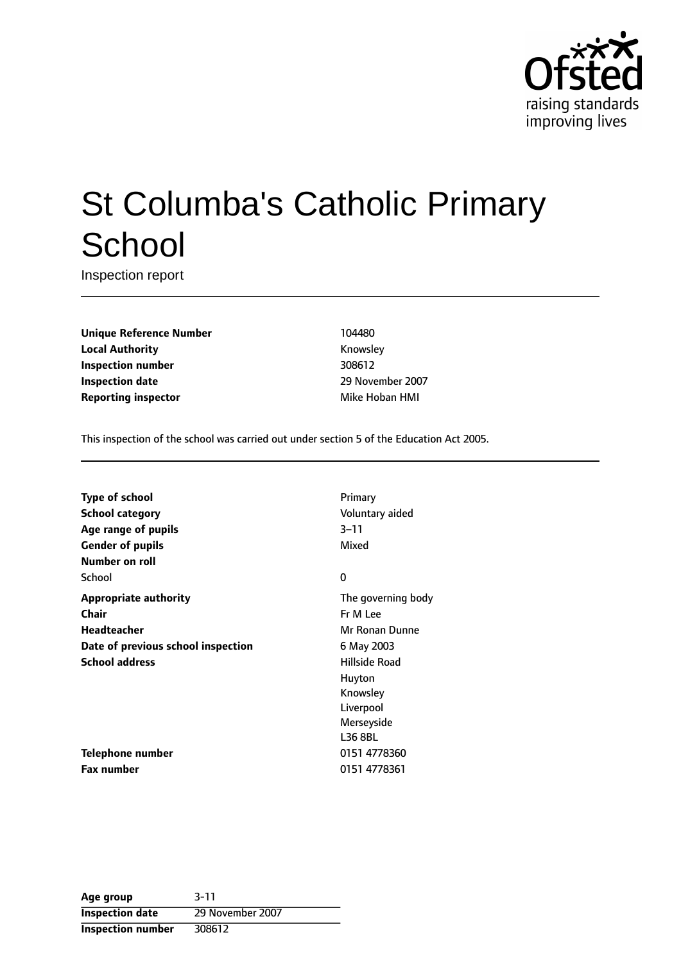

# St Columba's Catholic Primary **School**

Inspection report

**Unique Reference Number** 104480 **Local Authority Knowsley Inspection number** 308612 **Inspection date** 2007 **Reporting inspector** Mike Hoban HMI

This inspection of the school was carried out under section 5 of the Education Act 2005.

**Type of school** Primary **School category CONSIDER CONSIDER SCHOOL CATEGORY** Voluntary aided **Age** range of pupils 3-11 **Gender of pupils** Mixed **Number on roll** School 0 **Appropriate authority** The governing body **Chair** Fr M Lee **Headteacher** Mr Ronan Dunne **Date of previous school inspection** 6 May 2003 **School address Hillside Road** 

**Telephone number** 0151 4778360 **Fax number** 0151 4778361

Huyton Knowsley Liverpool Merseyside L36 8BL

| Age group              | $3 - 11$         |
|------------------------|------------------|
| <b>Inspection date</b> | 29 November 2007 |
| Inspection number      | 308612           |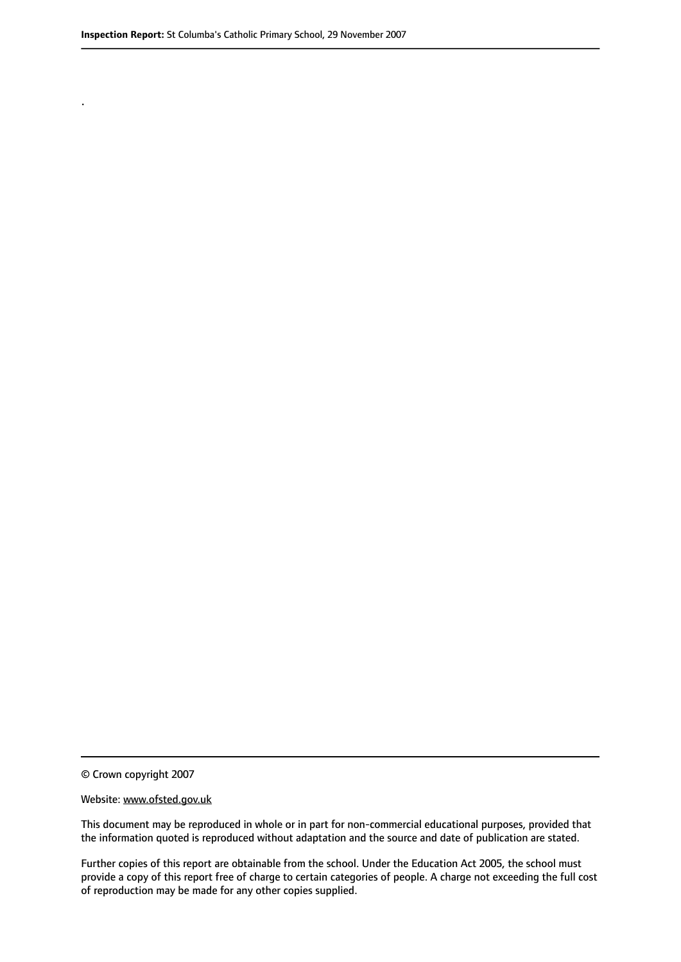.

© Crown copyright 2007

#### Website: www.ofsted.gov.uk

This document may be reproduced in whole or in part for non-commercial educational purposes, provided that the information quoted is reproduced without adaptation and the source and date of publication are stated.

Further copies of this report are obtainable from the school. Under the Education Act 2005, the school must provide a copy of this report free of charge to certain categories of people. A charge not exceeding the full cost of reproduction may be made for any other copies supplied.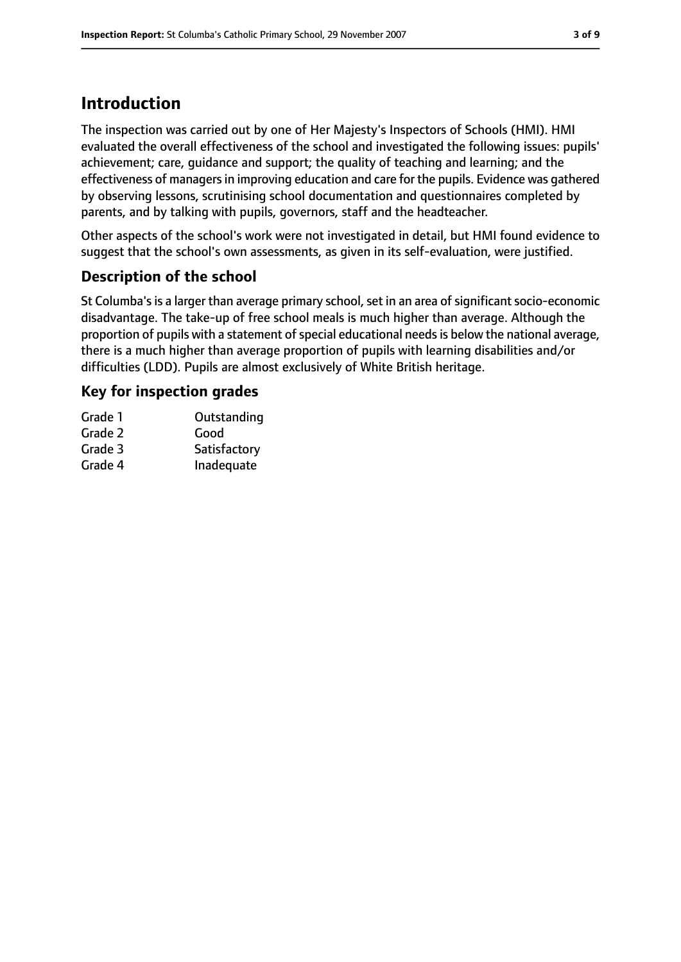## **Introduction**

The inspection was carried out by one of Her Majesty's Inspectors of Schools (HMI). HMI evaluated the overall effectiveness of the school and investigated the following issues: pupils' achievement; care, guidance and support; the quality of teaching and learning; and the effectiveness of managers in improving education and care for the pupils. Evidence was gathered by observing lessons, scrutinising school documentation and questionnaires completed by parents, and by talking with pupils, governors, staff and the headteacher.

Other aspects of the school's work were not investigated in detail, but HMI found evidence to suggest that the school's own assessments, as given in its self-evaluation, were justified.

#### **Description of the school**

St Columba's is a larger than average primary school, set in an area of significant socio-economic disadvantage. The take-up of free school meals is much higher than average. Although the proportion of pupils with a statement of special educational needs is below the national average, there is a much higher than average proportion of pupils with learning disabilities and/or difficulties (LDD). Pupils are almost exclusively of White British heritage.

#### **Key for inspection grades**

| Grade 1 | Outstanding  |
|---------|--------------|
| Grade 2 | Good         |
| Grade 3 | Satisfactory |
| Grade 4 | Inadequate   |
|         |              |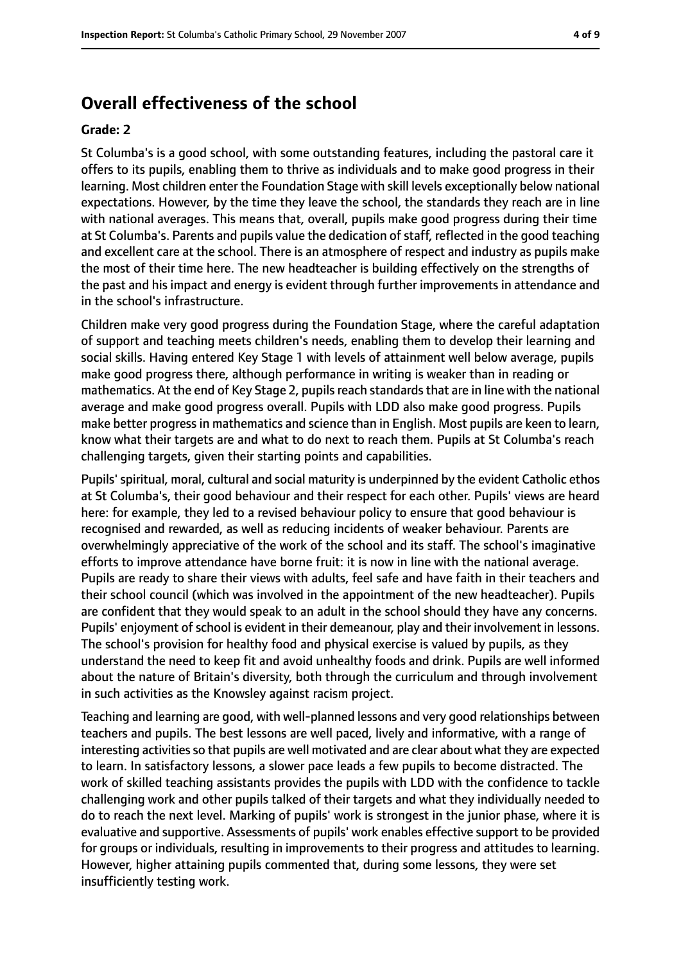## **Overall effectiveness of the school**

#### **Grade: 2**

St Columba's is a good school, with some outstanding features, including the pastoral care it offers to its pupils, enabling them to thrive as individuals and to make good progress in their learning. Most children enter the Foundation Stage with skill levels exceptionally below national expectations. However, by the time they leave the school, the standards they reach are in line with national averages. This means that, overall, pupils make good progress during their time at St Columba's. Parents and pupils value the dedication of staff, reflected in the good teaching and excellent care at the school. There is an atmosphere of respect and industry as pupils make the most of their time here. The new headteacher is building effectively on the strengths of the past and his impact and energy is evident through further improvements in attendance and in the school's infrastructure.

Children make very good progress during the Foundation Stage, where the careful adaptation of support and teaching meets children's needs, enabling them to develop their learning and social skills. Having entered Key Stage 1 with levels of attainment well below average, pupils make good progress there, although performance in writing is weaker than in reading or mathematics. At the end of Key Stage 2, pupils reach standards that are in line with the national average and make good progress overall. Pupils with LDD also make good progress. Pupils make better progressin mathematics and science than in English. Most pupils are keen to learn, know what their targets are and what to do next to reach them. Pupils at St Columba's reach challenging targets, given their starting points and capabilities.

Pupils'spiritual, moral, cultural and social maturity is underpinned by the evident Catholic ethos at St Columba's, their good behaviour and their respect for each other. Pupils' views are heard here: for example, they led to a revised behaviour policy to ensure that good behaviour is recognised and rewarded, as well as reducing incidents of weaker behaviour. Parents are overwhelmingly appreciative of the work of the school and its staff. The school's imaginative efforts to improve attendance have borne fruit: it is now in line with the national average. Pupils are ready to share their views with adults, feel safe and have faith in their teachers and their school council (which was involved in the appointment of the new headteacher). Pupils are confident that they would speak to an adult in the school should they have any concerns. Pupils' enjoyment of school is evident in their demeanour, play and their involvement in lessons. The school's provision for healthy food and physical exercise is valued by pupils, as they understand the need to keep fit and avoid unhealthy foods and drink. Pupils are well informed about the nature of Britain's diversity, both through the curriculum and through involvement in such activities as the Knowsley against racism project.

Teaching and learning are good, with well-planned lessons and very good relationships between teachers and pupils. The best lessons are well paced, lively and informative, with a range of interesting activities so that pupils are well motivated and are clear about what they are expected to learn. In satisfactory lessons, a slower pace leads a few pupils to become distracted. The work of skilled teaching assistants provides the pupils with LDD with the confidence to tackle challenging work and other pupils talked of their targets and what they individually needed to do to reach the next level. Marking of pupils' work is strongest in the junior phase, where it is evaluative and supportive. Assessments of pupils' work enables effective support to be provided for groups or individuals, resulting in improvements to their progress and attitudes to learning. However, higher attaining pupils commented that, during some lessons, they were set insufficiently testing work.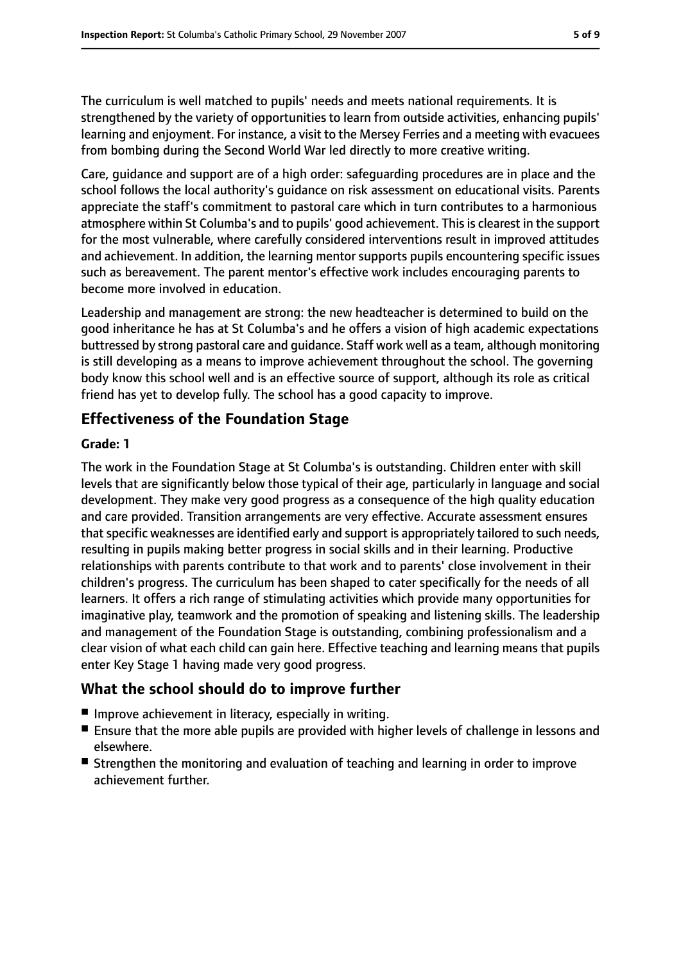The curriculum is well matched to pupils' needs and meets national requirements. It is strengthened by the variety of opportunities to learn from outside activities, enhancing pupils' learning and enjoyment. For instance, a visit to the Mersey Ferries and a meeting with evacuees from bombing during the Second World War led directly to more creative writing.

Care, guidance and support are of a high order: safeguarding procedures are in place and the school follows the local authority's guidance on risk assessment on educational visits. Parents appreciate the staff's commitment to pastoral care which in turn contributes to a harmonious atmosphere within St Columba's and to pupils' good achievement. This is clearest in the support for the most vulnerable, where carefully considered interventions result in improved attitudes and achievement. In addition, the learning mentor supports pupils encountering specific issues such as bereavement. The parent mentor's effective work includes encouraging parents to become more involved in education.

Leadership and management are strong: the new headteacher is determined to build on the good inheritance he has at St Columba's and he offers a vision of high academic expectations buttressed by strong pastoral care and guidance. Staff work well as a team, although monitoring is still developing as a means to improve achievement throughout the school. The governing body know this school well and is an effective source of support, although its role as critical friend has yet to develop fully. The school has a good capacity to improve.

#### **Effectiveness of the Foundation Stage**

#### **Grade: 1**

The work in the Foundation Stage at St Columba's is outstanding. Children enter with skill levels that are significantly below those typical of their age, particularly in language and social development. They make very good progress as a consequence of the high quality education and care provided. Transition arrangements are very effective. Accurate assessment ensures that specific weaknesses are identified early and support is appropriately tailored to such needs, resulting in pupils making better progress in social skills and in their learning. Productive relationships with parents contribute to that work and to parents' close involvement in their children's progress. The curriculum has been shaped to cater specifically for the needs of all learners. It offers a rich range of stimulating activities which provide many opportunities for imaginative play, teamwork and the promotion of speaking and listening skills. The leadership and management of the Foundation Stage is outstanding, combining professionalism and a clear vision of what each child can gain here. Effective teaching and learning means that pupils enter Key Stage 1 having made very good progress.

#### **What the school should do to improve further**

- Improve achievement in literacy, especially in writing.
- Ensure that the more able pupils are provided with higher levels of challenge in lessons and elsewhere.
- Strengthen the monitoring and evaluation of teaching and learning in order to improve achievement further.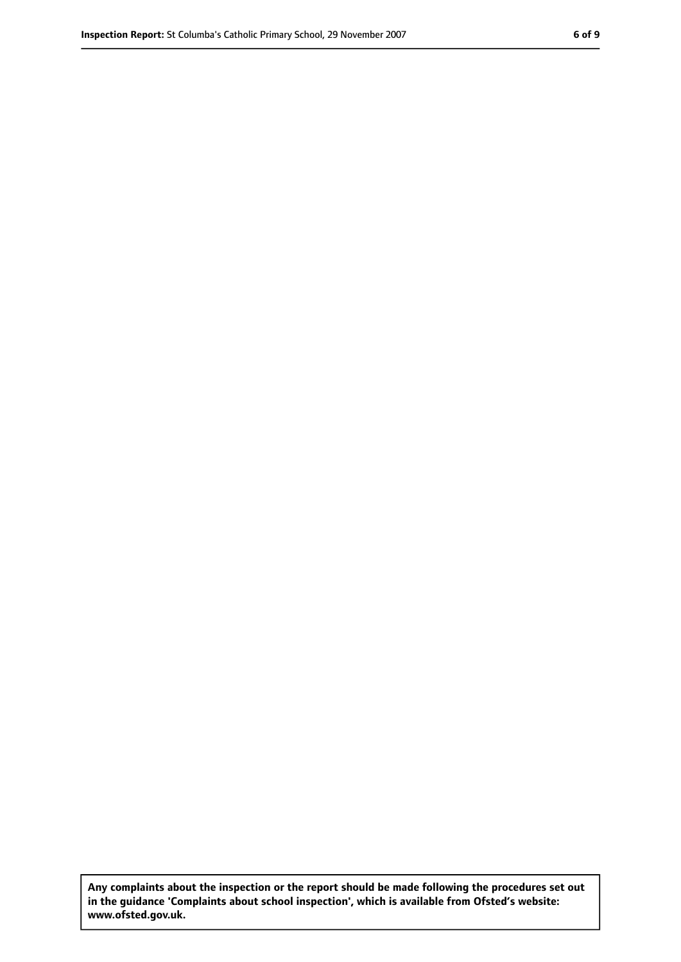**Any complaints about the inspection or the report should be made following the procedures set out in the guidance 'Complaints about school inspection', which is available from Ofsted's website: www.ofsted.gov.uk.**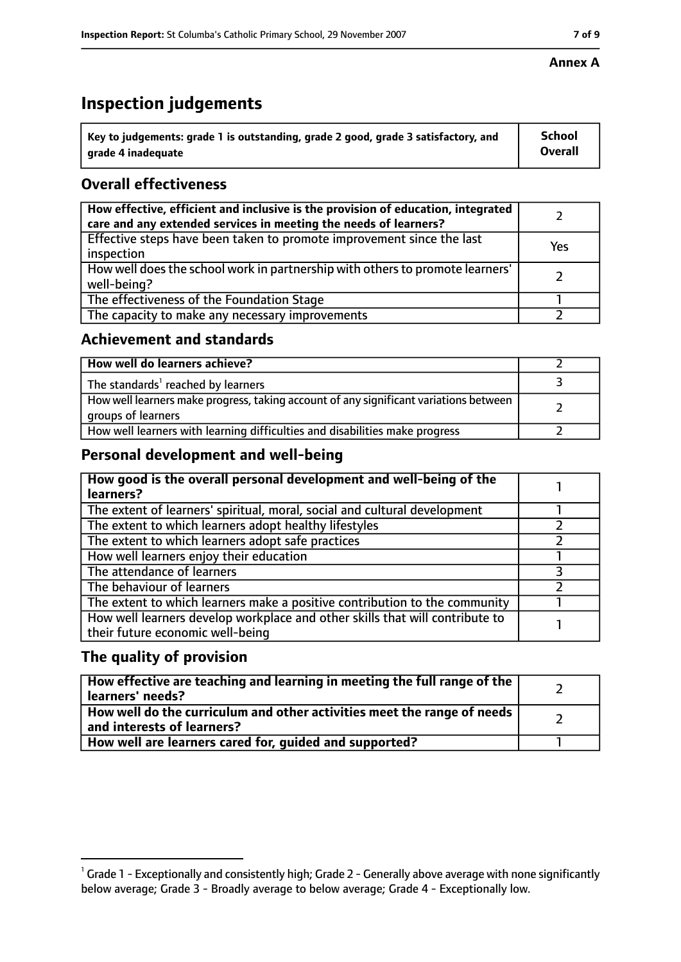# **Inspection judgements**

| $^{\backprime}$ Key to judgements: grade 1 is outstanding, grade 2 good, grade 3 satisfactory, and | <b>School</b>  |
|----------------------------------------------------------------------------------------------------|----------------|
| arade 4 inadeguate                                                                                 | <b>Overall</b> |

## **Overall effectiveness**

| How effective, efficient and inclusive is the provision of education, integrated<br>care and any extended services in meeting the needs of learners? |     |
|------------------------------------------------------------------------------------------------------------------------------------------------------|-----|
| Effective steps have been taken to promote improvement since the last<br>inspection                                                                  | Yes |
| How well does the school work in partnership with others to promote learners'<br>well-being?                                                         |     |
| The effectiveness of the Foundation Stage                                                                                                            |     |
| The capacity to make any necessary improvements                                                                                                      |     |

#### **Achievement and standards**

| How well do learners achieve?                                                                               |  |
|-------------------------------------------------------------------------------------------------------------|--|
| The standards <sup>1</sup> reached by learners                                                              |  |
| How well learners make progress, taking account of any significant variations between<br>groups of learners |  |
| How well learners with learning difficulties and disabilities make progress                                 |  |

#### **Personal development and well-being**

| How good is the overall personal development and well-being of the<br>learners?                                  |  |
|------------------------------------------------------------------------------------------------------------------|--|
| The extent of learners' spiritual, moral, social and cultural development                                        |  |
| The extent to which learners adopt healthy lifestyles                                                            |  |
| The extent to which learners adopt safe practices                                                                |  |
| How well learners enjoy their education                                                                          |  |
| The attendance of learners                                                                                       |  |
| The behaviour of learners                                                                                        |  |
| The extent to which learners make a positive contribution to the community                                       |  |
| How well learners develop workplace and other skills that will contribute to<br>their future economic well-being |  |

#### **The quality of provision**

| How effective are teaching and learning in meeting the full range of the<br>learners' needs?          |  |
|-------------------------------------------------------------------------------------------------------|--|
| How well do the curriculum and other activities meet the range of needs<br>and interests of learners? |  |
| How well are learners cared for, quided and supported?                                                |  |

#### **Annex A**

 $^1$  Grade 1 - Exceptionally and consistently high; Grade 2 - Generally above average with none significantly below average; Grade 3 - Broadly average to below average; Grade 4 - Exceptionally low.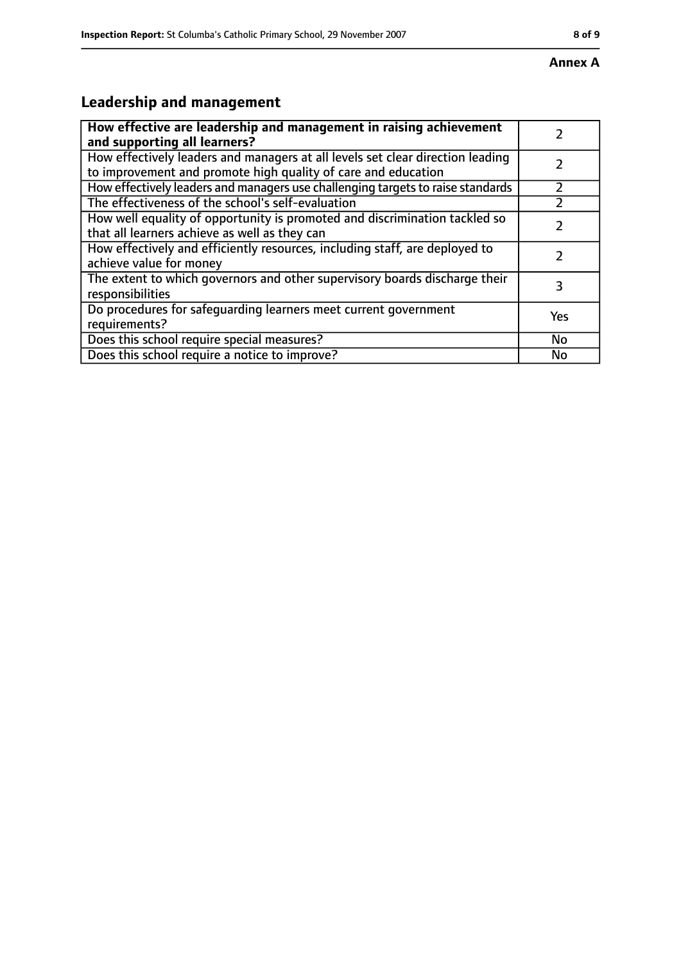# **Leadership and management**

| How effective are leadership and management in raising achievement              |     |
|---------------------------------------------------------------------------------|-----|
| and supporting all learners?                                                    |     |
| How effectively leaders and managers at all levels set clear direction leading  |     |
| to improvement and promote high quality of care and education                   |     |
| How effectively leaders and managers use challenging targets to raise standards |     |
| The effectiveness of the school's self-evaluation                               |     |
| How well equality of opportunity is promoted and discrimination tackled so      |     |
| that all learners achieve as well as they can                                   |     |
| How effectively and efficiently resources, including staff, are deployed to     | 7   |
| achieve value for money                                                         |     |
| The extent to which governors and other supervisory boards discharge their      | 3   |
| responsibilities                                                                |     |
| Do procedures for safequarding learners meet current government                 | Yes |
| requirements?                                                                   |     |
| Does this school require special measures?                                      | No  |
| Does this school require a notice to improve?                                   | No  |